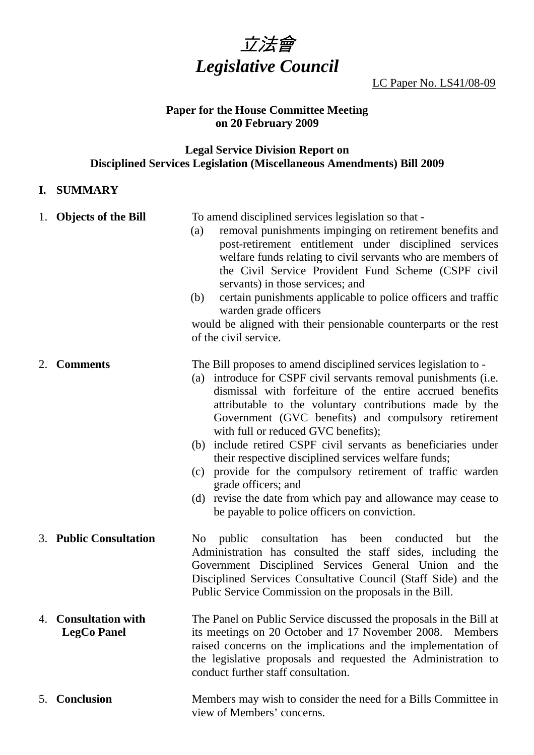

LC Paper No. LS41/08-09

## **Paper for the House Committee Meeting on 20 February 2009**

#### **Legal Service Division Report on Disciplined Services Legislation (Miscellaneous Amendments) Bill 2009**

## **I. SUMMARY**

|    | 1. Objects of the Bill                         | To amend disciplined services legislation so that -<br>removal punishments impinging on retirement benefits and<br>(a)<br>post-retirement entitlement under disciplined services<br>welfare funds relating to civil servants who are members of<br>the Civil Service Provident Fund Scheme (CSPF civil<br>servants) in those services; and<br>certain punishments applicable to police officers and traffic<br>(b)<br>warden grade officers                                                                                                                                                                                                                                                     |
|----|------------------------------------------------|-------------------------------------------------------------------------------------------------------------------------------------------------------------------------------------------------------------------------------------------------------------------------------------------------------------------------------------------------------------------------------------------------------------------------------------------------------------------------------------------------------------------------------------------------------------------------------------------------------------------------------------------------------------------------------------------------|
|    |                                                | would be aligned with their pensionable counterparts or the rest<br>of the civil service.                                                                                                                                                                                                                                                                                                                                                                                                                                                                                                                                                                                                       |
| 2. | <b>Comments</b>                                | The Bill proposes to amend disciplined services legislation to -<br>introduce for CSPF civil servants removal punishments (i.e.<br>(a)<br>dismissal with forfeiture of the entire accrued benefits<br>attributable to the voluntary contributions made by the<br>Government (GVC benefits) and compulsory retirement<br>with full or reduced GVC benefits);<br>(b) include retired CSPF civil servants as beneficiaries under<br>their respective disciplined services welfare funds;<br>provide for the compulsory retirement of traffic warden<br>(c)<br>grade officers; and<br>(d) revise the date from which pay and allowance may cease to<br>be payable to police officers on conviction. |
|    | 3. Public Consultation                         | public consultation has been conducted<br>the<br>No.<br>but<br>Administration has consulted the staff sides, including<br>the<br>Government Disciplined Services General Union and<br>the<br>Disciplined Services Consultative Council (Staff Side) and the<br>Public Service Commission on the proposals in the Bill.                                                                                                                                                                                                                                                                                                                                                                          |
| 4. | <b>Consultation with</b><br><b>LegCo Panel</b> | The Panel on Public Service discussed the proposals in the Bill at<br>its meetings on 20 October and 17 November 2008. Members<br>raised concerns on the implications and the implementation of<br>the legislative proposals and requested the Administration to<br>conduct further staff consultation.                                                                                                                                                                                                                                                                                                                                                                                         |
| 5. | Conclusion                                     | Members may wish to consider the need for a Bills Committee in                                                                                                                                                                                                                                                                                                                                                                                                                                                                                                                                                                                                                                  |

view of Members' concerns.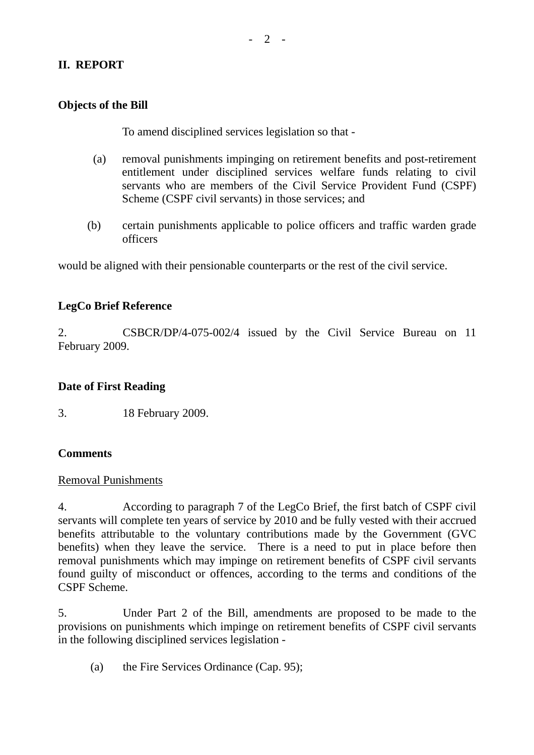# **II. REPORT**

## **Objects of the Bill**

To amend disciplined services legislation so that -

- (a) removal punishments impinging on retirement benefits and post-retirement entitlement under disciplined services welfare funds relating to civil servants who are members of the Civil Service Provident Fund (CSPF) Scheme (CSPF civil servants) in those services; and
- (b) certain punishments applicable to police officers and traffic warden grade officers

would be aligned with their pensionable counterparts or the rest of the civil service.

## **LegCo Brief Reference**

2. CSBCR/DP/4-075-002/4 issued by the Civil Service Bureau on 11 February 2009.

#### **Date of First Reading**

3. 18 February 2009.

## **Comments**

#### Removal Punishments

4. According to paragraph 7 of the LegCo Brief, the first batch of CSPF civil servants will complete ten years of service by 2010 and be fully vested with their accrued benefits attributable to the voluntary contributions made by the Government (GVC benefits) when they leave the service. There is a need to put in place before then removal punishments which may impinge on retirement benefits of CSPF civil servants found guilty of misconduct or offences, according to the terms and conditions of the CSPF Scheme.

5. Under Part 2 of the Bill, amendments are proposed to be made to the provisions on punishments which impinge on retirement benefits of CSPF civil servants in the following disciplined services legislation -

(a) the Fire Services Ordinance (Cap. 95);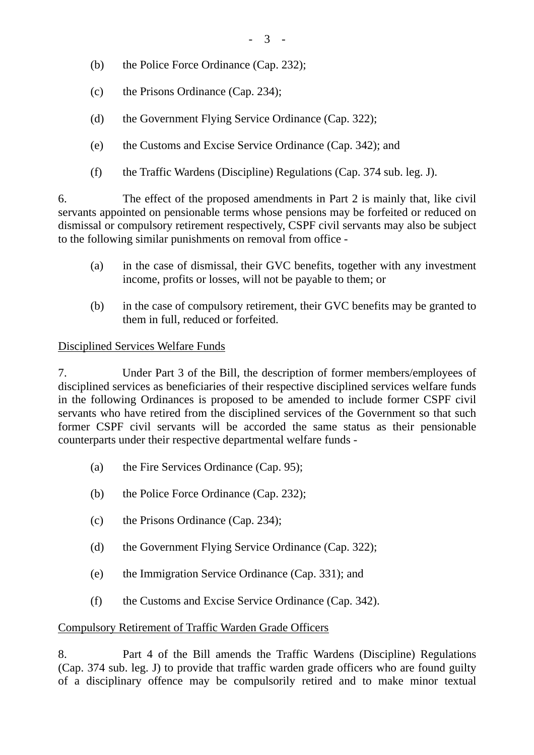- (b) the Police Force Ordinance (Cap. 232);
- (c) the Prisons Ordinance (Cap. 234);
- (d) the Government Flying Service Ordinance (Cap. 322);
- (e) the Customs and Excise Service Ordinance (Cap. 342); and
- (f) the Traffic Wardens (Discipline) Regulations (Cap. 374 sub. leg. J).

6. The effect of the proposed amendments in Part 2 is mainly that, like civil servants appointed on pensionable terms whose pensions may be forfeited or reduced on dismissal or compulsory retirement respectively, CSPF civil servants may also be subject to the following similar punishments on removal from office -

- (a) in the case of dismissal, their GVC benefits, together with any investment income, profits or losses, will not be payable to them; or
- (b) in the case of compulsory retirement, their GVC benefits may be granted to them in full, reduced or forfeited.

## Disciplined Services Welfare Funds

7. Under Part 3 of the Bill, the description of former members/employees of disciplined services as beneficiaries of their respective disciplined services welfare funds in the following Ordinances is proposed to be amended to include former CSPF civil servants who have retired from the disciplined services of the Government so that such former CSPF civil servants will be accorded the same status as their pensionable counterparts under their respective departmental welfare funds -

- (a) the Fire Services Ordinance (Cap. 95);
- (b) the Police Force Ordinance (Cap. 232);
- (c) the Prisons Ordinance (Cap. 234);
- (d) the Government Flying Service Ordinance (Cap. 322);
- (e) the Immigration Service Ordinance (Cap. 331); and
- (f) the Customs and Excise Service Ordinance (Cap. 342).

# Compulsory Retirement of Traffic Warden Grade Officers

8. Part 4 of the Bill amends the Traffic Wardens (Discipline) Regulations (Cap. 374 sub. leg. J) to provide that traffic warden grade officers who are found guilty of a disciplinary offence may be compulsorily retired and to make minor textual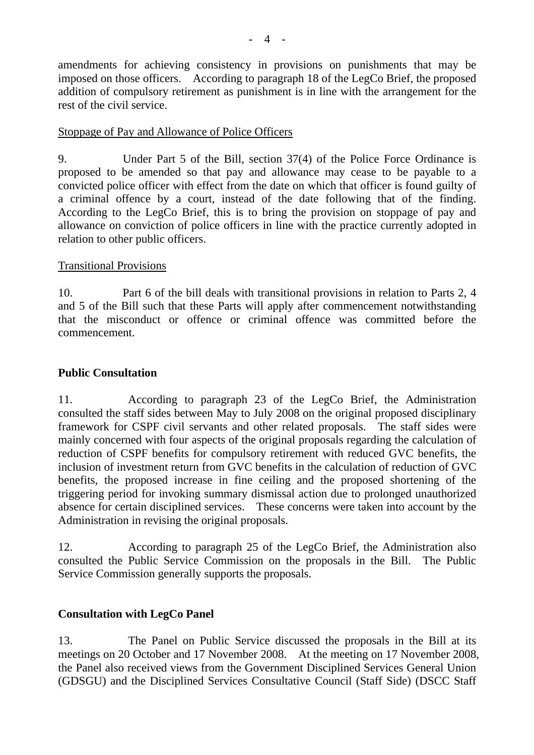amendments for achieving consistency in provisions on punishments that may be imposed on those officers. According to paragraph 18 of the LegCo Brief, the proposed addition of compulsory retirement as punishment is in line with the arrangement for the rest of the civil service.

## Stoppage of Pay and Allowance of Police Officers

9. Under Part 5 of the Bill, section 37(4) of the Police Force Ordinance is proposed to be amended so that pay and allowance may cease to be payable to a convicted police officer with effect from the date on which that officer is found guilty of a criminal offence by a court, instead of the date following that of the finding. According to the LegCo Brief, this is to bring the provision on stoppage of pay and allowance on conviction of police officers in line with the practice currently adopted in relation to other public officers.

#### Transitional Provisions

10. Part 6 of the bill deals with transitional provisions in relation to Parts 2, 4 and 5 of the Bill such that these Parts will apply after commencement notwithstanding that the misconduct or offence or criminal offence was committed before the commencement.

## **Public Consultation**

11. According to paragraph 23 of the LegCo Brief, the Administration consulted the staff sides between May to July 2008 on the original proposed disciplinary framework for CSPF civil servants and other related proposals. The staff sides were mainly concerned with four aspects of the original proposals regarding the calculation of reduction of CSPF benefits for compulsory retirement with reduced GVC benefits, the inclusion of investment return from GVC benefits in the calculation of reduction of GVC benefits, the proposed increase in fine ceiling and the proposed shortening of the triggering period for invoking summary dismissal action due to prolonged unauthorized absence for certain disciplined services. These concerns were taken into account by the Administration in revising the original proposals.

12. According to paragraph 25 of the LegCo Brief, the Administration also consulted the Public Service Commission on the proposals in the Bill. The Public Service Commission generally supports the proposals.

## **Consultation with LegCo Panel**

13. The Panel on Public Service discussed the proposals in the Bill at its meetings on 20 October and 17 November 2008. At the meeting on 17 November 2008, the Panel also received views from the Government Disciplined Services General Union (GDSGU) and the Disciplined Services Consultative Council (Staff Side) (DSCC Staff